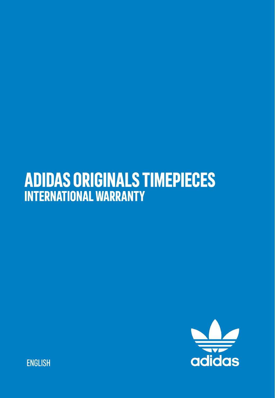## **ADIDAS ORIGINALS TIMEPIECES INTERNATIONAL WARRANTY**



**ENGLISH**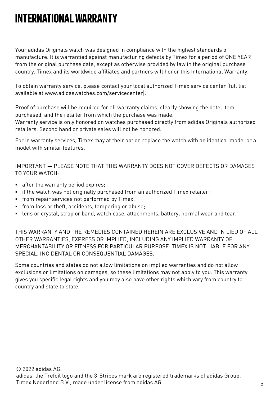## **INTERNATIONAL WARRANTY**

Your adidas Originals watch was designed in compliance with the highest standards of manufacture. It is warrantied against manufacturing defects by Timex for a period of ONE YEAR from the original purchase date, except as otherwise provided by law in the original purchase country. Timex and its worldwide affiliates and partners will honor this International Warranty.

To obtain warranty service, please contact your local authorized Timex service center (full list available at www.adidaswatches.com/servicecenter).

Proof of purchase will be required for all warranty claims, clearly showing the date, item purchased, and the retailer from which the purchase was made.

Warranty service is only honored on watches purchased directly from adidas Originals authorized retailers. Second hand or private sales will not be honored.

For in warranty services, Timex may at their option replace the watch with an identical model or a model with similar features.

IMPORTANT — PLEASE NOTE THAT THIS WARRANTY DOES NOT COVER DEFECTS OR DAMAGES TO YOUR WATCH:

- **EXE** after the warranty period expires;
- if the watch was not originally purchased from an authorized Timex retailer;
- **•** from repair services not performed by Timex;
- **.** from loss or theft, accidents, tampering or abuse;
- lens or crystal, strap or band, watch case, attachments, battery, normal wear and tear.

THIS WARRANTY AND THE REMEDIES CONTAINED HEREIN ARE EXCLUSIVE AND IN LIEU OF ALL OTHER WARRANTIES, EXPRESS OR IMPLIED, INCLUDING ANY IMPLIED WARRANTY OF MERCHANTABILITY OR FITNESS FOR PARTICULAR PURPOSE. TIMEX IS NOT LIABLE FOR ANY SPECIAL, INCIDENTAL OR CONSEQUENTIAL DAMAGES.

Some countries and states do not allow limitations on implied warranties and do not allow exclusions or limitations on damages, so these limitations may not apply to you. This warranty gives you specific legal rights and you may also have other rights which vary from country to country and state to state.